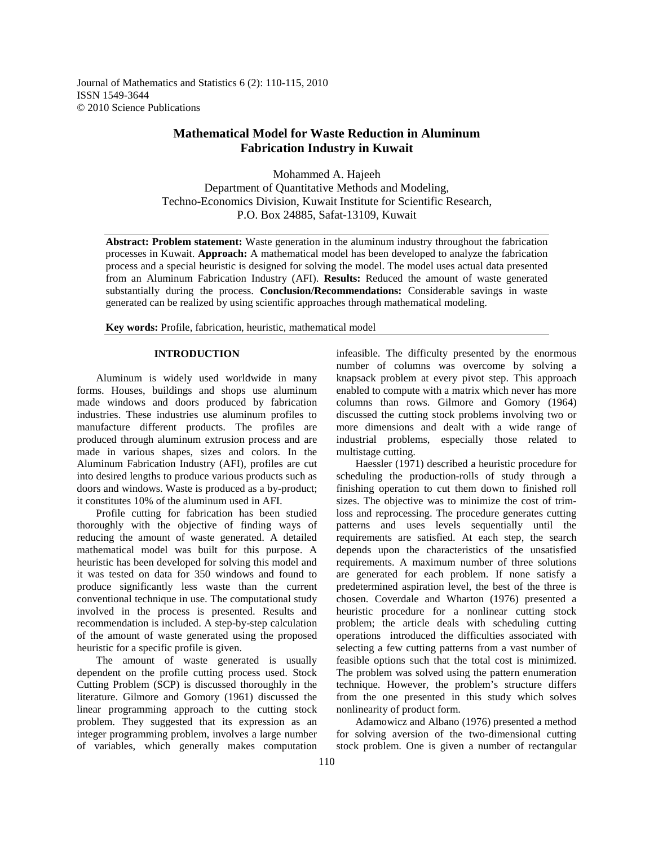Journal of Mathematics and Statistics 6 (2): 110-115, 2010 ISSN 1549-3644 © 2010 Science Publications

# **Mathematical Model for Waste Reduction in Aluminum Fabrication Industry in Kuwait**

Mohammed A. Hajeeh Department of Quantitative Methods and Modeling, Techno-Economics Division, Kuwait Institute for Scientific Research, P.O. Box 24885, Safat-13109, Kuwait

**Abstract: Problem statement:** Waste generation in the aluminum industry throughout the fabrication processes in Kuwait. **Approach:** A mathematical model has been developed to analyze the fabrication process and a special heuristic is designed for solving the model. The model uses actual data presented from an Aluminum Fabrication Industry (AFI). **Results:** Reduced the amount of waste generated substantially during the process. **Conclusion/Recommendations:** Considerable savings in waste generated can be realized by using scientific approaches through mathematical modeling.

**Key words:** Profile, fabrication, heuristic, mathematical model

### **INTRODUCTION**

 Aluminum is widely used worldwide in many forms. Houses, buildings and shops use aluminum made windows and doors produced by fabrication industries. These industries use aluminum profiles to manufacture different products. The profiles are produced through aluminum extrusion process and are made in various shapes, sizes and colors. In the Aluminum Fabrication Industry (AFI), profiles are cut into desired lengths to produce various products such as doors and windows. Waste is produced as a by-product; it constitutes 10% of the aluminum used in AFI.

 Profile cutting for fabrication has been studied thoroughly with the objective of finding ways of reducing the amount of waste generated. A detailed mathematical model was built for this purpose. A heuristic has been developed for solving this model and it was tested on data for 350 windows and found to produce significantly less waste than the current conventional technique in use. The computational study involved in the process is presented. Results and recommendation is included. A step-by-step calculation of the amount of waste generated using the proposed heuristic for a specific profile is given.

 The amount of waste generated is usually dependent on the profile cutting process used. Stock Cutting Problem (SCP) is discussed thoroughly in the literature. Gilmore and Gomory (1961) discussed the linear programming approach to the cutting stock problem. They suggested that its expression as an integer programming problem, involves a large number of variables, which generally makes computation

infeasible. The difficulty presented by the enormous number of columns was overcome by solving a knapsack problem at every pivot step. This approach enabled to compute with a matrix which never has more columns than rows. Gilmore and Gomory (1964) discussed the cutting stock problems involving two or more dimensions and dealt with a wide range of industrial problems, especially those related to multistage cutting.

 Haessler (1971) described a heuristic procedure for scheduling the production-rolls of study through a finishing operation to cut them down to finished roll sizes. The objective was to minimize the cost of trimloss and reprocessing. The procedure generates cutting patterns and uses levels sequentially until the requirements are satisfied. At each step, the search depends upon the characteristics of the unsatisfied requirements. A maximum number of three solutions are generated for each problem. If none satisfy a predetermined aspiration level, the best of the three is chosen. Coverdale and Wharton (1976) presented a heuristic procedure for a nonlinear cutting stock problem; the article deals with scheduling cutting operations introduced the difficulties associated with selecting a few cutting patterns from a vast number of feasible options such that the total cost is minimized. The problem was solved using the pattern enumeration technique. However, the problem's structure differs from the one presented in this study which solves nonlinearity of product form.

 Adamowicz and Albano (1976) presented a method for solving aversion of the two-dimensional cutting stock problem. One is given a number of rectangular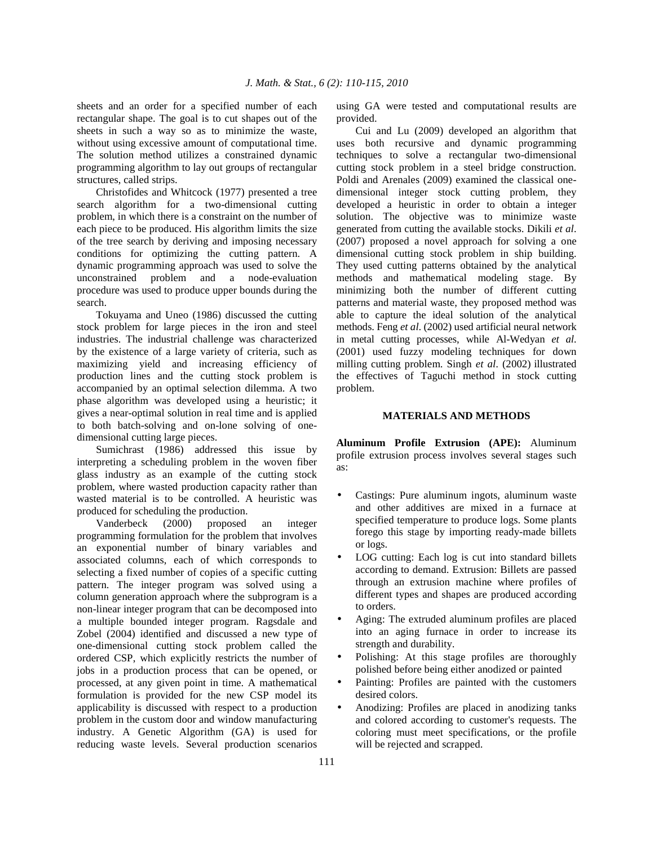sheets and an order for a specified number of each rectangular shape. The goal is to cut shapes out of the sheets in such a way so as to minimize the waste, without using excessive amount of computational time. The solution method utilizes a constrained dynamic programming algorithm to lay out groups of rectangular structures, called strips.

 Christofides and Whitcock (1977) presented a tree search algorithm for a two-dimensional cutting problem, in which there is a constraint on the number of each piece to be produced. His algorithm limits the size of the tree search by deriving and imposing necessary conditions for optimizing the cutting pattern. A dynamic programming approach was used to solve the unconstrained problem and a node-evaluation procedure was used to produce upper bounds during the search.

 Tokuyama and Uneo (1986) discussed the cutting stock problem for large pieces in the iron and steel industries. The industrial challenge was characterized by the existence of a large variety of criteria, such as maximizing yield and increasing efficiency of production lines and the cutting stock problem is accompanied by an optimal selection dilemma. A two phase algorithm was developed using a heuristic; it gives a near-optimal solution in real time and is applied to both batch-solving and on-lone solving of onedimensional cutting large pieces.

 Sumichrast (1986) addressed this issue by interpreting a scheduling problem in the woven fiber glass industry as an example of the cutting stock problem, where wasted production capacity rather than wasted material is to be controlled. A heuristic was produced for scheduling the production.

 Vanderbeck (2000) proposed an integer programming formulation for the problem that involves an exponential number of binary variables and associated columns, each of which corresponds to selecting a fixed number of copies of a specific cutting pattern. The integer program was solved using a column generation approach where the subprogram is a non-linear integer program that can be decomposed into a multiple bounded integer program. Ragsdale and Zobel (2004) identified and discussed a new type of one-dimensional cutting stock problem called the ordered CSP, which explicitly restricts the number of jobs in a production process that can be opened, or processed, at any given point in time. A mathematical formulation is provided for the new CSP model its applicability is discussed with respect to a production problem in the custom door and window manufacturing industry. A Genetic Algorithm (GA) is used for reducing waste levels. Several production scenarios

using GA were tested and computational results are provided.

 Cui and Lu (2009) developed an algorithm that uses both recursive and dynamic programming techniques to solve a rectangular two-dimensional cutting stock problem in a steel bridge construction. Poldi and Arenales (2009) examined the classical onedimensional integer stock cutting problem, they developed a heuristic in order to obtain a integer solution. The objective was to minimize waste generated from cutting the available stocks. Dikili *et al*. (2007) proposed a novel approach for solving a one dimensional cutting stock problem in ship building. They used cutting patterns obtained by the analytical methods and mathematical modeling stage. By minimizing both the number of different cutting patterns and material waste, they proposed method was able to capture the ideal solution of the analytical methods. Feng *et al*. (2002) used artificial neural network in metal cutting processes, while Al-Wedyan *et al*. (2001) used fuzzy modeling techniques for down milling cutting problem. Singh *et al*. (2002) illustrated the effectives of Taguchi method in stock cutting problem.

### **MATERIALS AND METHODS**

**Aluminum Profile Extrusion (APE):** Aluminum profile extrusion process involves several stages such as:

- Castings: Pure aluminum ingots, aluminum waste and other additives are mixed in a furnace at specified temperature to produce logs. Some plants forego this stage by importing ready-made billets or logs.
- LOG cutting: Each log is cut into standard billets according to demand. Extrusion: Billets are passed through an extrusion machine where profiles of different types and shapes are produced according to orders.
- Aging: The extruded aluminum profiles are placed into an aging furnace in order to increase its strength and durability.
- Polishing: At this stage profiles are thoroughly polished before being either anodized or painted
- Painting: Profiles are painted with the customers desired colors.
- Anodizing: Profiles are placed in anodizing tanks and colored according to customer's requests. The coloring must meet specifications, or the profile will be rejected and scrapped.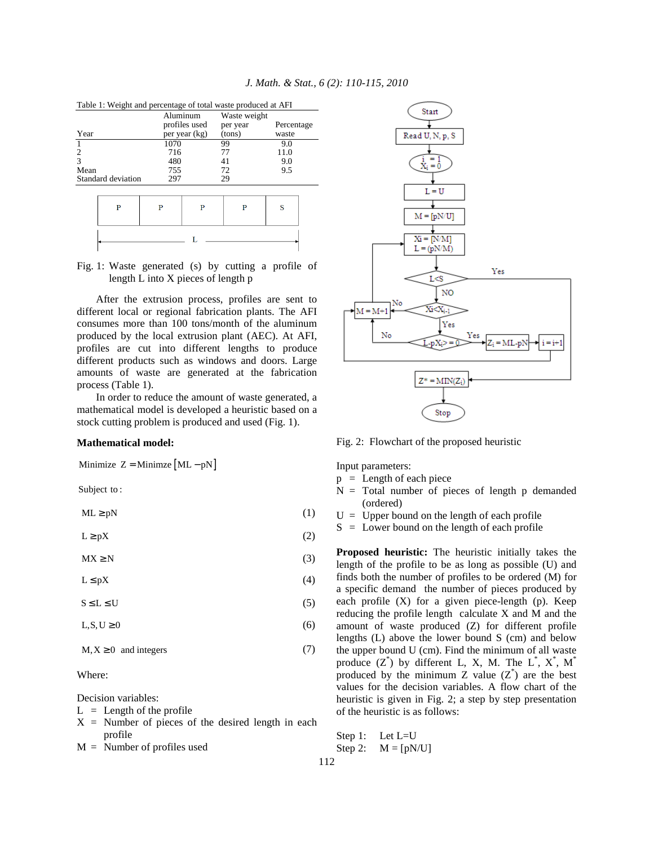| Table 1: Weight and percentage of total waste produced at AFI |   |     |                           |                                        |       |  |
|---------------------------------------------------------------|---|-----|---------------------------|----------------------------------------|-------|--|
|                                                               |   |     | Aluminum<br>profiles used | Waste weight<br>Percentage<br>per year |       |  |
| Year                                                          |   |     | per year (kg)             | (tons)                                 | waste |  |
|                                                               |   |     | 1070                      | 99                                     | 9.0   |  |
|                                                               |   |     | 716                       | 77                                     | 11.0  |  |
|                                                               |   |     | 480                       | 41                                     | 9.0   |  |
| Mean                                                          |   |     | 755                       | 72                                     | 9.5   |  |
| Standard deviation                                            |   | 297 |                           | 29                                     |       |  |
|                                                               |   |     |                           |                                        |       |  |
|                                                               | P | P   | P                         | P                                      | S     |  |
|                                                               |   |     |                           |                                        |       |  |



 After the extrusion process, profiles are sent to different local or regional fabrication plants. The AFI consumes more than 100 tons/month of the aluminum produced by the local extrusion plant (AEC). At AFI, profiles are cut into different lengths to produce different products such as windows and doors. Large amounts of waste are generated at the fabrication process (Table 1).

 In order to reduce the amount of waste generated, a mathematical model is developed a heuristic based on a stock cutting problem is produced and used (Fig. 1).

### **Mathematical model:**

Minimize  $Z =$  Minimze  $[ML - pN]$ 

Subject to :

 $ML \ge pN$  (1)

 $L \ge pX$  (2)

 $MX \ge N$  (3)

 $L \leq pX$  (4)

 $S \le L \le U$  (5)

$$
L, S, U \ge 0 \tag{6}
$$

 $M, X \ge 0$  and integers (7)

### Where:

Decision variables:

- $L =$  Length of the profile
- $X =$  Number of pieces of the desired length in each profile
- M = Number of profiles used



Fig. 2: Flowchart of the proposed heuristic

Input parameters:

- $p =$  Length of each piece
- $N =$  Total number of pieces of length p demanded (ordered)
- $U =$  Upper bound on the length of each profile
- $S =$  Lower bound on the length of each profile

**Proposed heuristic:** The heuristic initially takes the length of the profile to be as long as possible (U) and finds both the number of profiles to be ordered (M) for a specific demand the number of pieces produced by each profile  $(X)$  for a given piece-length  $(p)$ . Keep reducing the profile length calculate X and M and the amount of waste produced (Z) for different profile lengths (L) above the lower bound S (cm) and below the upper bound U (cm). Find the minimum of all waste produce  $(Z^*)$  by different L, X, M. The L<sup>\*</sup>, X<sup>\*</sup>, M<sup>\*</sup> produced by the minimum  $Z$  value  $(Z^*)$  are the best values for the decision variables. A flow chart of the heuristic is given in Fig. 2; a step by step presentation of the heuristic is as follows:

Step 1: Let L=U Step 2:  $M = [pN/U]$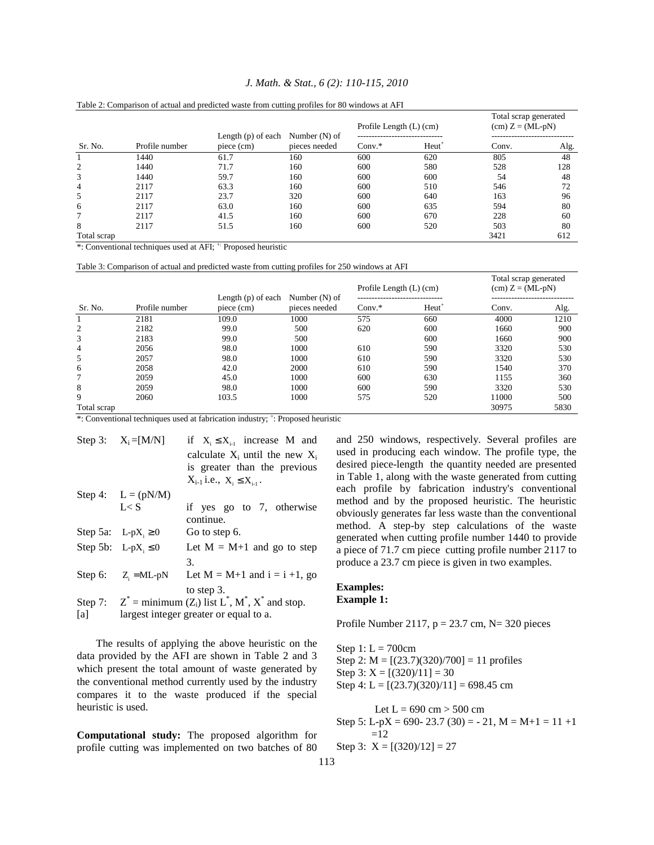| Table 2: Comparison of actual and predicted waste from cutting profiles for 80 windows at AFI |                |                      |                 |                                                              |         |                                                                   |      |
|-----------------------------------------------------------------------------------------------|----------------|----------------------|-----------------|--------------------------------------------------------------|---------|-------------------------------------------------------------------|------|
|                                                                                               |                | Length $(p)$ of each | Number $(N)$ of | Profile Length $(L)$ (cm)<br>------------------------------- |         | Total scrap generated<br>$(cm) Z = (ML-pN)$<br>------------------ |      |
| Sr. No.                                                                                       | Profile number | piece (cm)           | pieces needed   | $Conv.*$                                                     | $Heut+$ | Conv.                                                             | Alg. |
|                                                                                               | 1440           | 61.7                 | 160             | 600                                                          | 620     | 805                                                               | 48   |
|                                                                                               | 1440           | 71.7                 | 160             | 600                                                          | 580     | 528                                                               | 128  |
| 3                                                                                             | 1440           | 59.7                 | 160             | 600                                                          | 600     | 54                                                                | 48   |
| 4                                                                                             | 2117           | 63.3                 | 160             | 600                                                          | 510     | 546                                                               | 72   |
|                                                                                               | 2117           | 23.7                 | 320             | 600                                                          | 640     | 163                                                               | 96   |
| 6                                                                                             | 2117           | 63.0                 | 160             | 600                                                          | 635     | 594                                                               | 80   |
|                                                                                               | 2117           | 41.5                 | 160             | 600                                                          | 670     | 228                                                               | 60   |
| 8                                                                                             | 2117           | 51.5                 | 160             | 600                                                          | 520     | 503                                                               | 80   |
| Total scrap                                                                                   |                |                      |                 |                                                              |         | 3421                                                              | 612  |

### *J. Math. & Stat., 6 (2): 110-115, 2010*

\*: Conventional techniques used at AFI; +: Proposed heuristic

Table 3: Comparison of actual and predicted waste from cutting profiles for 250 windows at AFI

| Sr. No.        | Profile number | Length $(p)$ of each<br>piece (cm) | Number (N) of<br>pieces needed | Profile Length $(L)$ (cm) |         | Total scrap generated<br>$(cm) Z = (ML-pN)$ |      |
|----------------|----------------|------------------------------------|--------------------------------|---------------------------|---------|---------------------------------------------|------|
|                |                |                                    |                                | $Conv.*$                  | $Heut+$ | Conv.                                       | Alg. |
|                | 2181           | 109.0                              | 1000                           | 575                       | 660     | 4000                                        | 1210 |
| $\overline{2}$ | 2182           | 99.0                               | 500                            | 620                       | 600     | 1660                                        | 900  |
| 3              | 2183           | 99.0                               | 500                            |                           | 600     | 1660                                        | 900  |
| $\overline{4}$ | 2056           | 98.0                               | 1000                           | 610                       | 590     | 3320                                        | 530  |
| 5              | 2057           | 98.0                               | 1000                           | 610                       | 590     | 3320                                        | 530  |
| 6              | 2058           | 42.0                               | 2000                           | 610                       | 590     | 1540                                        | 370  |
|                | 2059           | 45.0                               | 1000                           | 600                       | 630     | 1155                                        | 360  |
| 8              | 2059           | 98.0                               | 1000                           | 600                       | 590     | 3320                                        | 530  |
| 9              | 2060           | 103.5                              | 1000                           | 575                       | 520     | 11000                                       | 500  |
| Total scrap    |                |                                    |                                |                           |         | 30975                                       | 5830 |

\*: Conventional techniques used at fabrication industry;  $\dot{ }$ : Proposed heuristic

|     | Step 3: $X_i = [M/N]$                                                                    | if $X_i \leq X_{i+1}$ increase M and                   |  |
|-----|------------------------------------------------------------------------------------------|--------------------------------------------------------|--|
|     |                                                                                          | calculate $X_i$ until the new $X_i$                    |  |
|     |                                                                                          | is greater than the previous                           |  |
|     |                                                                                          | $X_{i-1}$ i.e., $X_i \leq X_{i-1}$ .                   |  |
|     | Step 4: $L = (pN/M)$                                                                     |                                                        |  |
|     | L < S                                                                                    | if yes go to 7, otherwise                              |  |
|     |                                                                                          | continue.                                              |  |
|     | Step 5a: L-pX <sub>i</sub> $\geq$ 0                                                      | Go to step 6.                                          |  |
|     | Step 5b: $L-pX_i \le 0$                                                                  | Let $M = M+1$ and go to step                           |  |
|     |                                                                                          | 3.                                                     |  |
|     |                                                                                          | Step 6: $Z_i = ML-pN$ Let $M = M+1$ and $i = i+1$ , go |  |
|     |                                                                                          |                                                        |  |
|     | to step 3.<br>Step 7: $Z^* = \text{minimum } (Z_i)$ list $L^*$ , $M^*$ , $X^*$ and stop. |                                                        |  |
| [a] | largest integer greater or equal to a.                                                   |                                                        |  |

 The results of applying the above heuristic on the data provided by the AFI are shown in Table 2 and 3 which present the total amount of waste generated by the conventional method currently used by the industry compares it to the waste produced if the special heuristic is used.

**Computational study:** The proposed algorithm for profile cutting was implemented on two batches of 80 and 250 windows, respectively. Several profiles are used in producing each window. The profile type, the desired piece-length the quantity needed are presented in Table 1, along with the waste generated from cutting each profile by fabrication industry's conventional method and by the proposed heuristic. The heuristic obviously generates far less waste than the conventional method. A step-by step calculations of the waste generated when cutting profile number 1440 to provide a piece of 71.7 cm piece cutting profile number 2117 to produce a 23.7 cm piece is given in two examples.

# **Examples:**

## **Example 1:**

Profile Number 2117,  $p = 23.7$  cm,  $N = 320$  pieces

Step 1:  $L = 700$ cm Step 2:  $M = [(23.7)(320)/700] = 11$  profiles Step 3:  $X = [(320)/11] = 30$ Step 4: L =  $[(23.7)(320)/11] = 698.45$  cm

Let  $L = 690$  cm  $> 500$  cm Step 5: L-pX = 690- 23.7 (30) = - 21, M = M+1 = 11 +1  $=12$ Step 3:  $X = [(320)/12] = 27$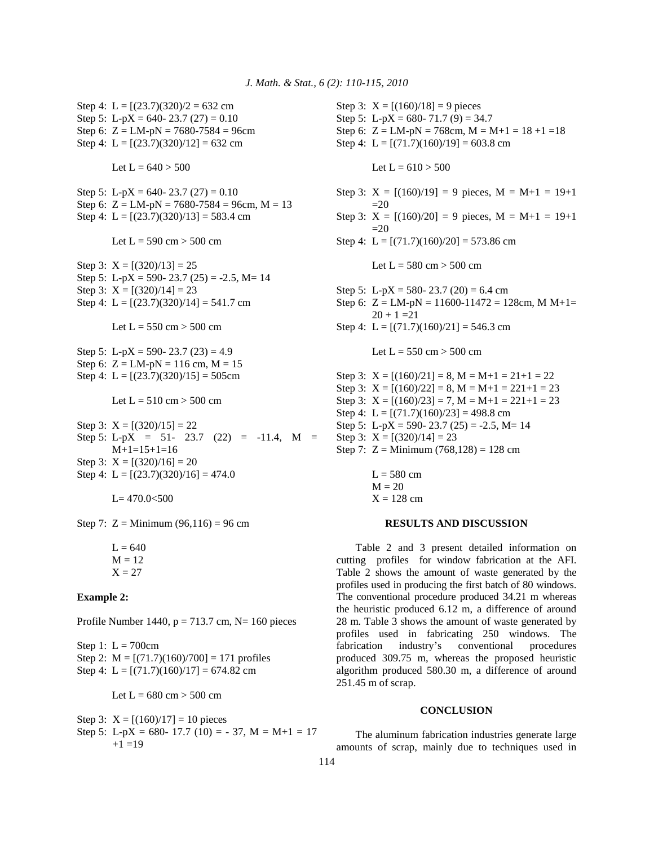Step 4: L =  $[(23.7)(320)/2 = 632$  cm Step 5: L-pX = 640- 23.7 (27) =  $0.10$ Step 6:  $Z = LM-pN = 7680-7584 = 96cm$ Step 4: L =  $[(23.7)(320)/12] = 632$  cm Let  $L = 640 > 500$ Step 5: L-pX =  $640 - 23.7(27) = 0.10$ Step 6:  $Z = LM-pN = 7680-7584 = 96cm$ ,  $M = 13$ Step 4: L =  $[(23.7)(320)/13] = 583.4$  cm Let  $L = 590$  cm  $> 500$  cm Step 3:  $X = [(320)/13] = 25$ Step 5: L-pX = 590- 23.7 (25) = -2.5, M= 14 Step 3:  $X = [(320)/14] = 23$ Step 4: L =  $[(23.7)(320)/14] = 541.7$  cm Let  $L = 550$  cm  $> 500$  cm Step 5: L-pX = 590- 23.7 (23) = 4.9 Step 6:  $Z = LM-pN = 116$  cm,  $M = 15$ Step 4: L =  $[(23.7)(320)/15] = 505$ cm Let  $L = 510 \text{ cm} > 500 \text{ cm}$ 

Step 3:  $X = [(320)/15] = 22$ Step 5: L-pX = 51- 23.7 (22) = -11.4, M =  $M+1=15+1=16$ Step 3:  $X = [(320)/16] = 20$ Step 4: L =  $[(23.7)(320)/16] = 474.0$ 

 $L= 470.0< 500$ 

Step 7:  $Z =$  Minimum (96,116) = 96 cm

$$
L = 640
$$
  

$$
M = 12
$$
  

$$
X = 27
$$

### **Example 2:**

Profile Number 1440,  $p = 713.7$  cm,  $N = 160$  pieces

Step 1:  $L = 700$ cm Step 2:  $M = [(71.7)(160)/700] = 171$  profiles Step 4: L =  $[(71.7)(160)/17] = 674.82$  cm

Let  $L = 680$  cm  $> 500$  cm

Step 3: 
$$
X = [(160)/17] = 10
$$
 pieces

Step 5: L-pX = 680- 17.7 (10) = - 37, M = M+1 = 17  $+1 = 19$ 

Step 3:  $X = [(160)/18] = 9$  pieces Step 5: L-pX = 680- 71.7 (9) = 34.7 Step 6:  $Z = LM-pN = 768cm$ ,  $M = M+1 = 18 + 1 = 18$ Step 4: L =  $[(71.7)(160)/19] = 603.8$  cm Let  $L = 610 > 500$ Step 3:  $X = [(160)/19] = 9$  pieces,  $M = M+1 = 19+1$  $=20$ Step 3:  $X = [(160)/20] = 9$  pieces,  $M = M+1 = 19+1$  $=20$ Step 4: L =  $[(71.7)(160)/20]$  = 573.86 cm Let  $L = 580$  cm  $> 500$  cm Step 5: L-pX = 580- 23.7 (20) = 6.4 cm Step 6:  $Z = LM-pN = 11600-11472 = 128cm$ , M  $M+1=$  $20 + 1 = 21$ Step 4: L =  $[(71.7)(160)/21] = 546.3$  cm Let  $L = 550$  cm  $> 500$  cm Step 3:  $X = [(160)/21] = 8$ ,  $M = M+1 = 21+1 = 22$ Step 3:  $X = [(160)/22] = 8$ ,  $M = M+1 = 221+1 = 23$ Step 3:  $X = [(160)/23] = 7$ ,  $M = M+1 = 221+1 = 23$ Step 4: L =  $[(71.7)(160)/23] = 498.8$  cm Step 5: L-pX = 590- 23.7 (25) = -2.5, M= 14 Step 3:  $X = [(320)/14] = 23$ Step 7:  $Z =$  Minimum (768,128) = 128 cm  $L = 580$  cm  $M = 20$  $X = 128$  cm

### **RESULTS AND DISCUSSION**

 Table 2 and 3 present detailed information on cutting profiles for window fabrication at the AFI. Table 2 shows the amount of waste generated by the profiles used in producing the first batch of 80 windows. The conventional procedure produced 34.21 m whereas the heuristic produced 6.12 m, a difference of around 28 m. Table 3 shows the amount of waste generated by profiles used in fabricating 250 windows. The fabrication industry's conventional procedures produced 309.75 m, whereas the proposed heuristic algorithm produced 580.30 m, a difference of around 251.45 m of scrap.

### **CONCLUSION**

 The aluminum fabrication industries generate large amounts of scrap, mainly due to techniques used in